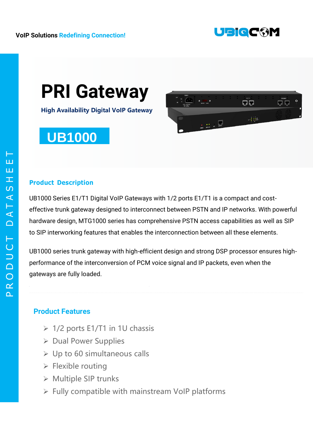

# **PRI Gateway**

**High Availability Digital VoIP Gateway**

## **UB1000**



### **Product Description**

UB1000 Series E1/T1 Digital VoIP Gateways with 1/2 ports E1/T1 is a compact and costeffective trunk gateway designed to interconnect between PSTN and IP networks. With powerful hardware design, MTG1000 series has comprehensive PSTN access capabilities as well as SIP to SIP interworking features that enables the interconnection between all these elements.

UB1000 series trunk gateway with high-efficient design and strong DSP processor ensures highperformance of the interconversion of PCM voice signal and IP packets, even when the gateways are fully loaded.

## **Product Features**

- $\geq 1/2$  ports E1/T1 in 1U chassis
- ▶ Dual Power Supplies
- $\triangleright$  Up to 60 simultaneous calls
- $\triangleright$  Flexible routing
- ▶ Multiple SIP trunks
- $\triangleright$  Fully compatible with mainstream VoIP platforms